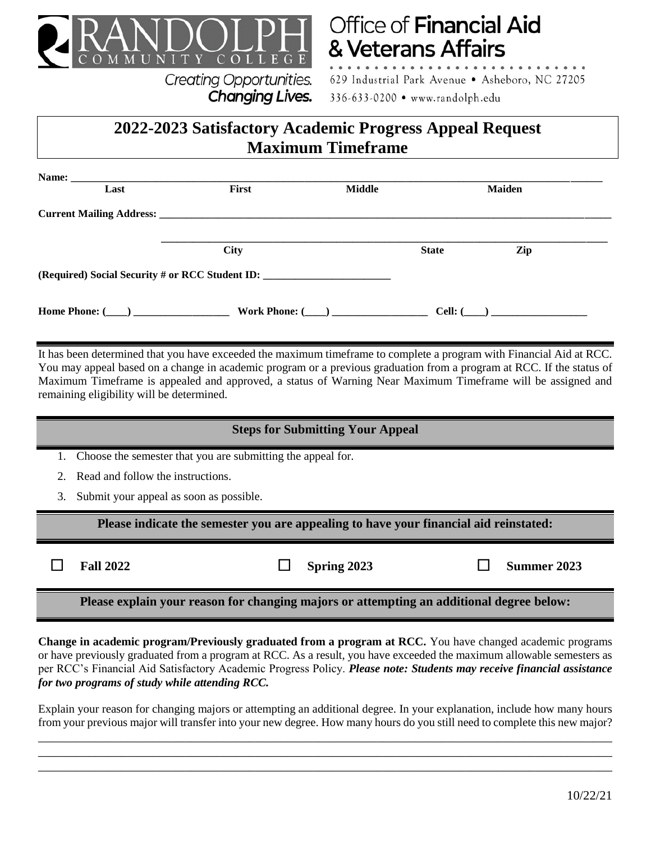

**Creating Opportunities.** 

Changing Lives.

# **Office of Financial Aid** & Veterans Affairs

629 Industrial Park Avenue . Asheboro, NC 27205 336-633-0200 • www.randolph.edu

# **2022-2023 Satisfactory Academic Progress Appeal Request Maximum Timeframe**

| Last | First                                           | <b>Middle</b> | <b>Maiden</b> |                |  |
|------|-------------------------------------------------|---------------|---------------|----------------|--|
|      |                                                 |               |               |                |  |
|      | <b>City</b>                                     |               | <b>State</b>  | Zip            |  |
|      | (Required) Social Security # or RCC Student ID: |               |               |                |  |
|      | Home Phone: ( ) Work Phone: ( )                 |               |               | Cell: $(\_\_)$ |  |

It has been determined that you have exceeded the maximum timeframe to complete a program with Financial Aid at RCC. You may appeal based on a change in academic program or a previous graduation from a program at RCC. If the status of Maximum Timeframe is appealed and approved, a status of Warning Near Maximum Timeframe will be assigned and remaining eligibility will be determined.

## **Steps for Submitting Your Appeal**

1. Choose the semester that you are submitting the appeal for.

- 2. Read and follow the instructions.
- 3. Submit your appeal as soon as possible.

**Please indicate the semester you are appealing to have your financial aid reinstated:**

П

**Fall 2022 Spring 2023 Summer 2023**

**Please explain your reason for changing majors or attempting an additional degree below:**

**Change in academic program/Previously graduated from a program at RCC.** You have changed academic programs or have previously graduated from a program at RCC. As a result, you have exceeded the maximum allowable semesters as per RCC's Financial Aid Satisfactory Academic Progress Policy. *Please note: Students may receive financial assistance for two programs of study while attending RCC.*

Explain your reason for changing majors or attempting an additional degree. In your explanation, include how many hours from your previous major will transfer into your new degree. How many hours do you still need to complete this new major? \_\_\_\_\_\_\_\_\_\_\_\_\_\_\_\_\_\_\_\_\_\_\_\_\_\_\_\_\_\_\_\_\_\_\_\_\_\_\_\_\_\_\_\_\_\_\_\_\_\_\_\_\_\_\_\_\_\_\_\_\_\_\_\_\_\_\_\_\_\_\_\_\_\_\_\_\_\_\_\_\_\_\_\_\_\_\_\_\_\_

\_\_\_\_\_\_\_\_\_\_\_\_\_\_\_\_\_\_\_\_\_\_\_\_\_\_\_\_\_\_\_\_\_\_\_\_\_\_\_\_\_\_\_\_\_\_\_\_\_\_\_\_\_\_\_\_\_\_\_\_\_\_\_\_\_\_\_\_\_\_\_\_\_\_\_\_\_\_\_\_\_\_\_\_\_\_\_\_\_\_ \_\_\_\_\_\_\_\_\_\_\_\_\_\_\_\_\_\_\_\_\_\_\_\_\_\_\_\_\_\_\_\_\_\_\_\_\_\_\_\_\_\_\_\_\_\_\_\_\_\_\_\_\_\_\_\_\_\_\_\_\_\_\_\_\_\_\_\_\_\_\_\_\_\_\_\_\_\_\_\_\_\_\_\_\_\_\_\_\_\_